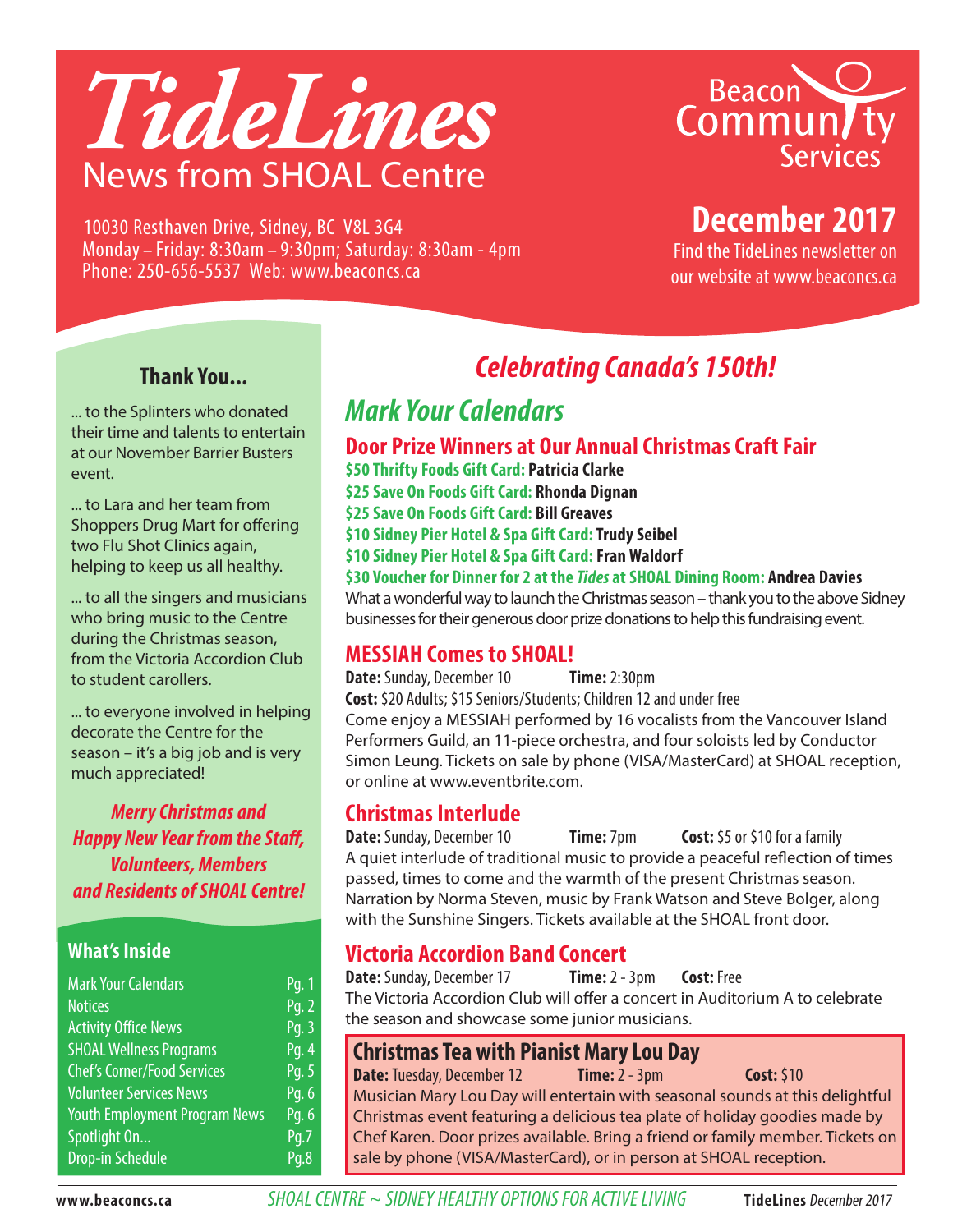

Beacon<br>Commun/ty<br>Services

# **December 2017**

Find the TideLines newsletter on our website at www.beaconcs.ca

Monday – Friday: 8:30am – 9:30pm; Saturday: 8:30am - 4pm Phone: 250-656-5537 Web: www.beaconcs.ca

10030 Resthaven Drive, Sidney, BC V8L 3G4

#### **Thank You...**

... to the Splinters who donated their time and talents to entertain at our November Barrier Busters event.

... to Lara and her team from Shoppers Drug Mart for offering two Flu Shot Clinics again, helping to keep us all healthy.

... to all the singers and musicians who bring music to the Centre during the Christmas season, from the Victoria Accordion Club to student carollers.

... to everyone involved in helping decorate the Centre for the season – it's a big job and is very much appreciated!

*Merry Christmas and Happy New Year from the Staff, Volunteers, Members and Residents of SHOAL Centre!*

#### **What's Inside**

| <b>Mark Your Calendars</b>           | Pq. 1              |
|--------------------------------------|--------------------|
| <b>Notices</b>                       | Pg. 2              |
| <b>Activity Office News</b>          | Pg. 3              |
| <b>SHOAL Wellness Programs</b>       | Pg. 4              |
| <b>Chef's Corner/Food Services</b>   | Pg. 5              |
| <b>Volunteer Services News</b>       | Pg. 6              |
| <b>Youth Employment Program News</b> | Pg. 6              |
| Spotlight On                         | $\overline{Pq}$ .7 |
| <b>Drop-in Schedule</b>              | Pq.8               |

# *Celebrating Canada's 150th!*

## *Mark Your Calendars*

#### **Door Prize Winners at Our Annual Christmas Craft Fair**

- **\$50 Thrifty Foods Gift Card: Patricia Clarke**
- **\$25 Save On Foods Gift Card: Rhonda Dignan**
- **\$25 Save On Foods Gift Card: Bill Greaves**
- **\$10 Sidney Pier Hotel & Spa Gift Card: Trudy Seibel**
- **\$10 Sidney Pier Hotel & Spa Gift Card: Fran Waldorf**

**\$30 Voucher for Dinner for 2 at the** *Tides* **at SHOAL Dining Room: Andrea Davies** What a wonderful way to launch the Christmas season – thank you to the above Sidney businesses for their generous door prize donations to help this fundraising event.

#### **MESSIAH Comes to SHOAL!**

**Date:** Sunday, December 10 **Time:** 2:30pm **Cost:** \$20 Adults; \$15 Seniors/Students; Children 12 and under free Come enjoy a MESSIAH performed by 16 vocalists from the Vancouver Island Performers Guild, an 11-piece orchestra, and four soloists led by Conductor Simon Leung. Tickets on sale by phone (VISA/MasterCard) at SHOAL reception, or online at www.eventbrite.com.

#### **Christmas Interlude**

**Date:** Sunday, December 10 **Time:** 7pm **Cost:** \$5 or \$10 for a family A quiet interlude of traditional music to provide a peaceful reflection of times passed, times to come and the warmth of the present Christmas season. Narration by Norma Steven, music by Frank Watson and Steve Bolger, along with the Sunshine Singers. Tickets available at the SHOAL front door.

# **Victoria Accordion Band Concert**

**Date:** Sunday, December 17 **Time:** 2 - 3pm **Cost:** Free The Victoria Accordion Club will offer a concert in Auditorium A to celebrate the season and showcase some junior musicians.

#### **Christmas Tea with Pianist Mary Lou Day**

**Date:** Tuesday, December 12 **Time:** 2 - 3pm **Cost:** \$10 Musician Mary Lou Day will entertain with seasonal sounds at this delightful Christmas event featuring a delicious tea plate of holiday goodies made by Chef Karen. Door prizes available. Bring a friend or family member. Tickets on sale by phone (VISA/MasterCard), or in person at SHOAL reception.

**www.beaconcs.ca** *SHOAL CENTRE ~ SIDNEY HEALTHY OPTIONS FOR ACTIVE LIVING* **TideLines** December 2017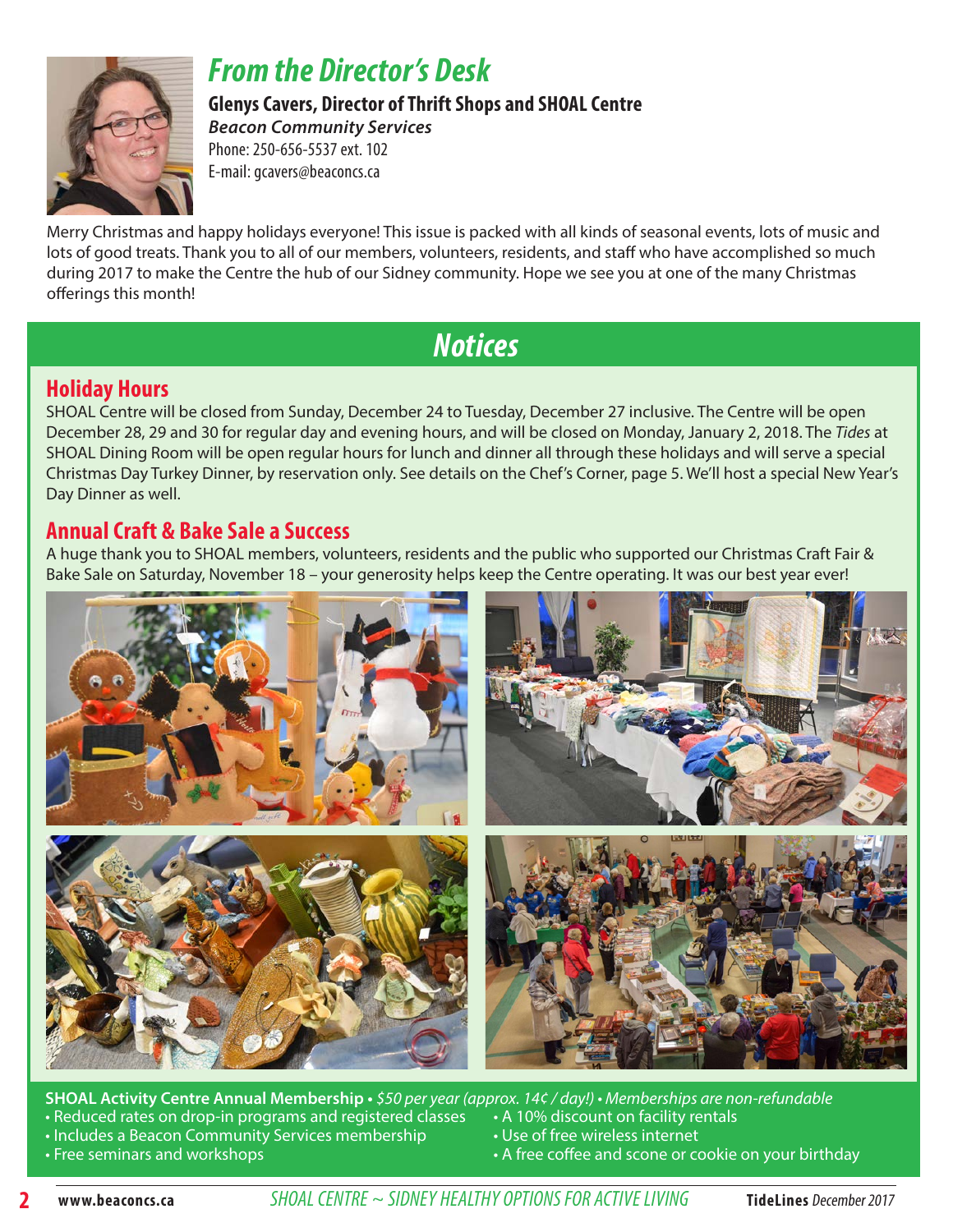

## *From the Director's Desk*

**Glenys Cavers, Director of Thrift Shops and SHOAL Centre**  *Beacon Community Services*

Phone: 250-656-5537 ext. 102 E-mail: gcavers@beaconcs.ca

Merry Christmas and happy holidays everyone! This issue is packed with all kinds of seasonal events, lots of music and lots of good treats. Thank you to all of our members, volunteers, residents, and staff who have accomplished so much during 2017 to make the Centre the hub of our Sidney community. Hope we see you at one of the many Christmas offerings this month!

## *Notices*

#### **Holiday Hours**

SHOAL Centre will be closed from Sunday, December 24 to Tuesday, December 27 inclusive. The Centre will be open December 28, 29 and 30 for regular day and evening hours, and will be closed on Monday, January 2, 2018. The *Tides* at SHOAL Dining Room will be open regular hours for lunch and dinner all through these holidays and will serve a special Christmas Day Turkey Dinner, by reservation only. See details on the Chef's Corner, page 5. We'll host a special New Year's Day Dinner as well.

#### **Annual Craft & Bake Sale a Success**

A huge thank you to SHOAL members, volunteers, residents and the public who supported our Christmas Craft Fair & Bake Sale on Saturday, November 18 – your generosity helps keep the Centre operating. It was our best year ever!



**SHOAL Activity Centre Annual Membership** • *\$50 per year (approx. 14¢ / day!)* • *Memberships are non-refundable*<br>• Reduced rates on drop-in programs and <u>registered classes • 16 10% discount on facility rentals</u> • Reduced rates on drop-in programs and registered classes

- Includes a Beacon Community Services membership Use of free wireless internet
- 
- 
- 
- Free seminars and workshops  **A free coffee and scone or cookie on your birthday A free coffee and scone or cookie on your birthday**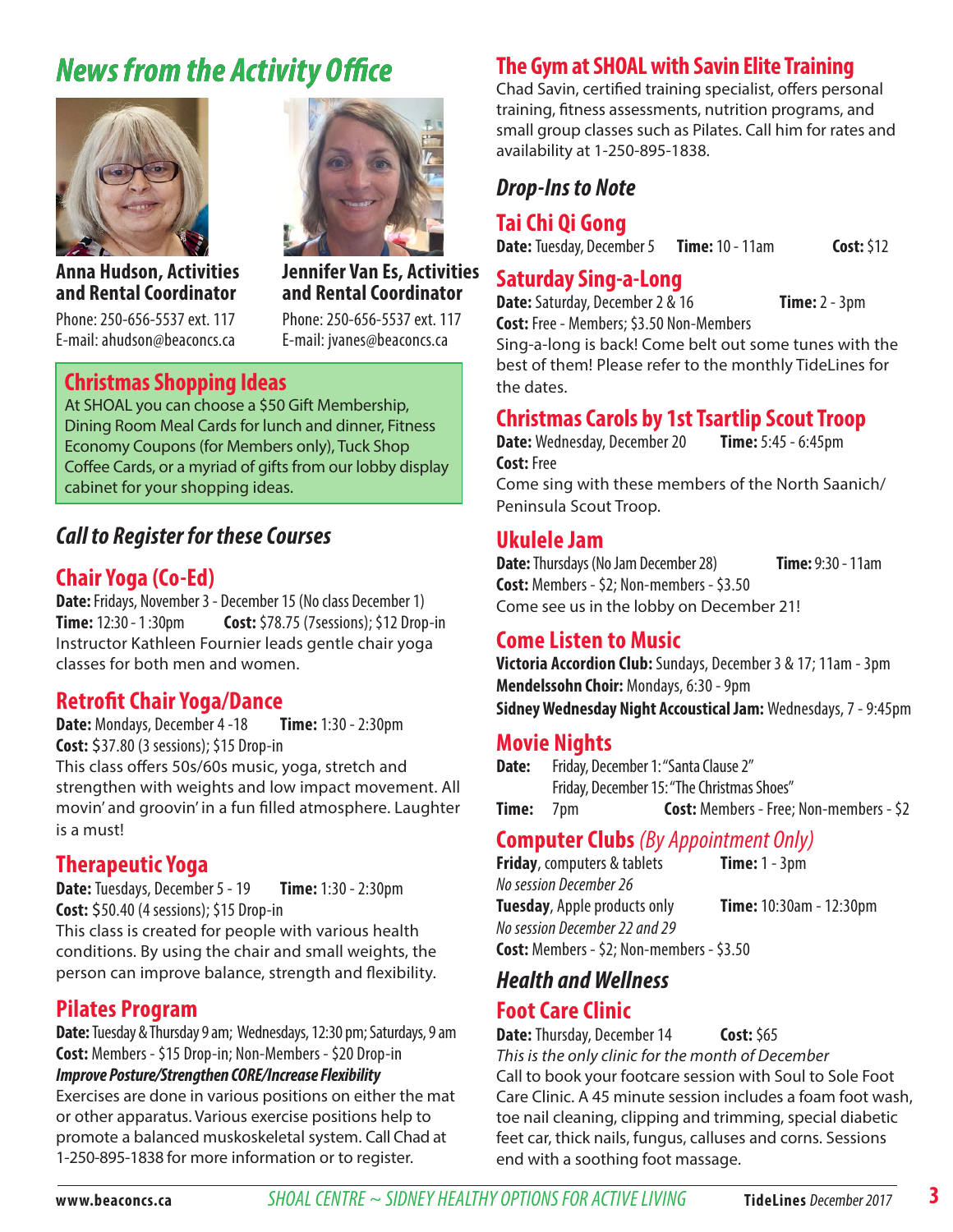# *News from the Activity Office*



**Anna Hudson, Activities and Rental Coordinator**

Phone: 250-656-5537 ext. 117 E-mail: ahudson@beaconcs.ca

#### **Christmas Shopping Ideas**

At SHOAL you can choose a \$50 Gift Membership, Dining Room Meal Cards for lunch and dinner, Fitness Economy Coupons (for Members only), Tuck Shop Coffee Cards, or a myriad of gifts from our lobby display cabinet for your shopping ideas.

**Jennifer Van Es, Activities and Rental Coordinator** Phone: 250-656-5537 ext. 117 E-mail: jvanes@beaconcs.ca

#### *Call to Register for these Courses*

#### **Chair Yoga (Co-Ed)**

**Date:** Fridays, November 3 - December 15 (No class December 1) **Time:** 12:30 - 1 :30pm **Cost:** \$78.75 (7sessions); \$12 Drop-in Instructor Kathleen Fournier leads gentle chair yoga classes for both men and women.

#### **Retrofit Chair Yoga/Dance**

**Date:** Mondays, December 4 -18 **Time:** 1:30 - 2:30pm **Cost:** \$37.80 (3 sessions); \$15 Drop-in This class offers 50s/60s music, yoga, stretch and strengthen with weights and low impact movement. All movin' and groovin' in a fun filled atmosphere. Laughter is a must!

#### **Therapeutic Yoga**

**Date:** Tuesdays, December 5 - 19 **Time:** 1:30 - 2:30pm **Cost:** \$50.40 (4 sessions); \$15 Drop-in This class is created for people with various health conditions. By using the chair and small weights, the person can improve balance, strength and flexibility.

#### **Pilates Program**

**Date:** Tuesday & Thursday 9 am; Wednesdays, 12:30 pm; Saturdays, 9 am **Cost:** Members - \$15 Drop-in; Non-Members - \$20 Drop-in *Improve Posture/Strengthen CORE/Increase Flexibility*  Exercises are done in various positions on either the mat or other apparatus. Various exercise positions help to promote a balanced muskoskeletal system. Call Chad at 1-250-895-1838 for more information or to register.

#### **The Gym at SHOAL with Savin Elite Training**

Chad Savin, certified training specialist, offers personal training, fitness assessments, nutrition programs, and small group classes such as Pilates. Call him for rates and availability at 1-250-895-1838.

#### *Drop-Ins to Note*

#### **Tai Chi Qi Gong**

**Date:** Tuesday, December 5 **Time:** 10 - 11am **Cost:** \$12

#### **Saturday Sing-a-Long**

**Date:** Saturday, December 2 & 16 **Time:** 2 - 3pm **Cost:** Free - Members; \$3.50 Non-Members

Sing-a-long is back! Come belt out some tunes with the best of them! Please refer to the monthly TideLines for the dates.

#### **Christmas Carols by 1st Tsartlip Scout Troop**

**Date:** Wednesday, December 20 **Time:** 5:45 - 6:45pm **Cost:** Free Come sing with these members of the North Saanich/ Peninsula Scout Troop.

#### **Ukulele Jam**

**Date:** Thursdays (No Jam December 28) **Time:** 9:30 - 11am **Cost:** Members - \$2; Non-members - \$3.50 Come see us in the lobby on December 21!

#### **Come Listen to Music**

**Victoria Accordion Club:** Sundays, December 3 & 17; 11am - 3pm **Mendelssohn Choir: Mondays, 6:30 - 9pm Sidney Wednesday Night Accoustical Jam:** Wednesdays, 7 - 9:45pm

#### **Movie Nights**

**Date:** Friday, December 1: "Santa Clause 2" Friday, December 15: "The Christmas Shoes" **Time:** 7pm **Cost:** Members - Free; Non-members - \$2

#### **Computer Clubs** *(By Appointment Only)*

**Friday**, computers & tablets **Time:** 1 - 3pm *No session December 26* **Tuesday**, Apple products only **Time:** 10:30am - 12:30pm *No session December 22 and 29* **Cost:** Members - \$2; Non-members - \$3.50

#### *Health and Wellness*

#### **Foot Care Clinic**

**Date:** Thursday, December 14 **Cost:** \$65 This is the only clinic for the month of December Call to book your footcare session with Soul to Sole Foot Care Clinic. A 45 minute session includes a foam foot wash, toe nail cleaning, clipping and trimming, special diabetic feet car, thick nails, fungus, calluses and corns. Sessions end with a soothing foot massage.

**3**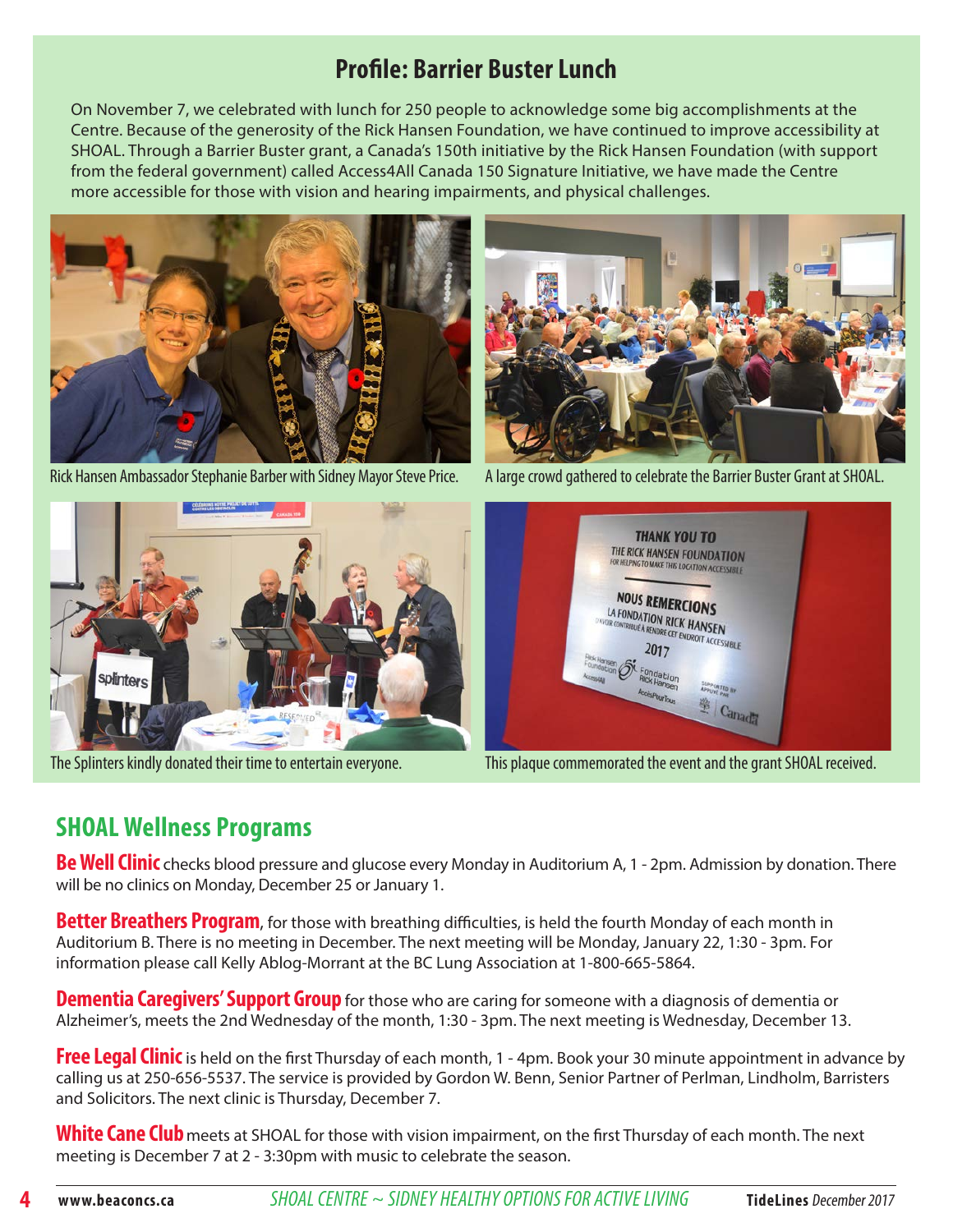## **Profile: Barrier Buster Lunch**

On November 7, we celebrated with lunch for 250 people to acknowledge some big accomplishments at the Centre. Because of the generosity of the Rick Hansen Foundation, we have continued to improve accessibility at SHOAL. Through a Barrier Buster grant, a Canada's 150th initiative by the Rick Hansen Foundation (with support from the federal government) called Access4All Canada 150 Signature Initiative, we have made the Centre more accessible for those with vision and hearing impairments, and physical challenges.



Rick Hansen Ambassador Stephanie Barber with Sidney Mayor Steve Price. A large crowd gathered to celebrate the Barrier Buster Grant at SHOAL.







The Splinters kindly donated their time to entertain everyone. This plaque commemorated the event and the grant SHOAL received.

## **SHOAL Wellness Programs**

**Be Well Clinic** checks blood pressure and glucose every Monday in Auditorium A, 1 - 2pm. Admission by donation. There will be no clinics on Monday, December 25 or January 1.

**Better Breathers Program**, for those with breathing difficulties, is held the fourth Monday of each month in Auditorium B. There is no meeting in December. The next meeting will be Monday, January 22, 1:30 - 3pm. For information please call Kelly Ablog-Morrant at the BC Lung Association at 1-800-665-5864.

**Dementia Caregivers' Support Group** for those who are caring for someone with a diagnosis of dementia or Alzheimer's, meets the 2nd Wednesday of the month, 1:30 - 3pm. The next meeting is Wednesday, December 13.

**Free Legal Clinic** is held on the first Thursday of each month, 1 - 4pm. Book your 30 minute appointment in advance by calling us at 250-656-5537. The service is provided by Gordon W. Benn, Senior Partner of Perlman, Lindholm, Barristers and Solicitors. The next clinic is Thursday, December 7.

White Cane Club meets at SHOAL for those with vision impairment, on the first Thursday of each month. The next meeting is December 7 at 2 - 3:30pm with music to celebrate the season.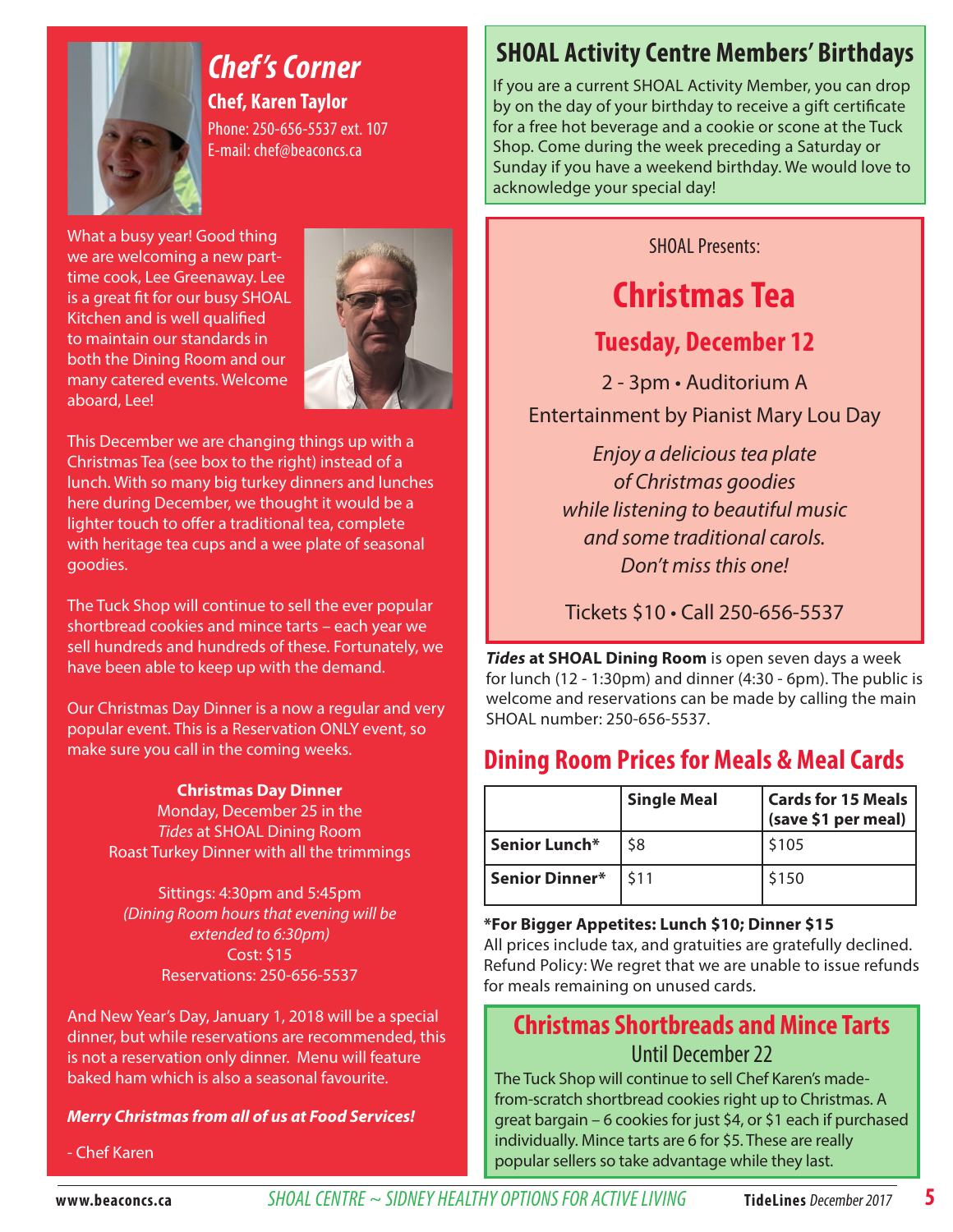

## *Chef 's Corner* **Chef, Karen Taylor** Phone: 250-656-5537 ext. 107

What a busy year! Good thing we are welcoming a new parttime cook, Lee Greenaway. Lee is a great fit for our busy SHOAL Kitchen and is well qualified to maintain our standards in both the Dining Room and our many catered events. Welcome aboard, Lee!



This December we are changing things up with a Christmas Tea (see box to the right) instead of a lunch. With so many big turkey dinners and lunches here during December, we thought it would be a lighter touch to offer a traditional tea, complete with heritage tea cups and a wee plate of seasonal goodies.

The Tuck Shop will continue to sell the ever popular shortbread cookies and mince tarts – each year we sell hundreds and hundreds of these. Fortunately, we have been able to keep up with the demand.

Our Christmas Day Dinner is a now a regular and very popular event. This is a Reservation ONLY event, so make sure you call in the coming weeks.

#### **Christmas Day Dinner**

Monday, December 25 in the *Tides* at SHOAL Dining Room Roast Turkey Dinner with all the trimmings

Sittings: 4:30pm and 5:45pm (Dining Room hours that evening will be extended to 6:30pm) Cost: \$15 Reservations: 250-656-5537

And New Year's Day, January 1, 2018 will be a special dinner, but while reservations are recommended, this is not a reservation only dinner. Menu will feature baked ham which is also a seasonal favourite.

#### *Merry Christmas from all of us at Food Services!*

- Chef Karen

## **SHOAL Activity Centre Members' Birthdays**

If you are a current SHOAL Activity Member, you can drop by on the day of your birthday to receive a gift certificate for a free hot beverage and a cookie or scone at the Tuck Shop. Come during the week preceding a Saturday or Sunday if you have a weekend birthday. We would love to acknowledge your special day!

SHOAL Presents:

# **Christmas Tea**

### **Tuesday, December 12**

2 - 3pm • Auditorium A Entertainment by Pianist Mary Lou Day

Enjoy a delicious tea plate of Christmas goodies while listening to beautiful music and some traditional carols. Don't miss this one!

Tickets \$10 • Call 250-656-5537

*Tides* **at SHOAL Dining Room** is open seven days a week for lunch (12 - 1:30pm) and dinner (4:30 - 6pm). The public is welcome and reservations can be made by calling the main SHOAL number: 250-656-5537.

## **Dining Room Prices for Meals & Meal Cards**

|                    | <b>Single Meal</b> | <b>Cards for 15 Meals</b><br>(save \$1 per meal) |
|--------------------|--------------------|--------------------------------------------------|
| Senior Lunch*      | \$8                | \$105                                            |
| Senior Dinner* 511 |                    | \$150                                            |

**\*For Bigger Appetites: Lunch \$10; Dinner \$15**

All prices include tax, and gratuities are gratefully declined. Refund Policy: We regret that we are unable to issue refunds for meals remaining on unused cards.

## **Christmas Shortbreads and Mince Tarts** Until December 22

The Tuck Shop will continue to sell Chef Karen's madefrom-scratch shortbread cookies right up to Christmas. A great bargain – 6 cookies for just \$4, or \$1 each if purchased individually. Mince tarts are 6 for \$5. These are really popular sellers so take advantage while they last.

**5**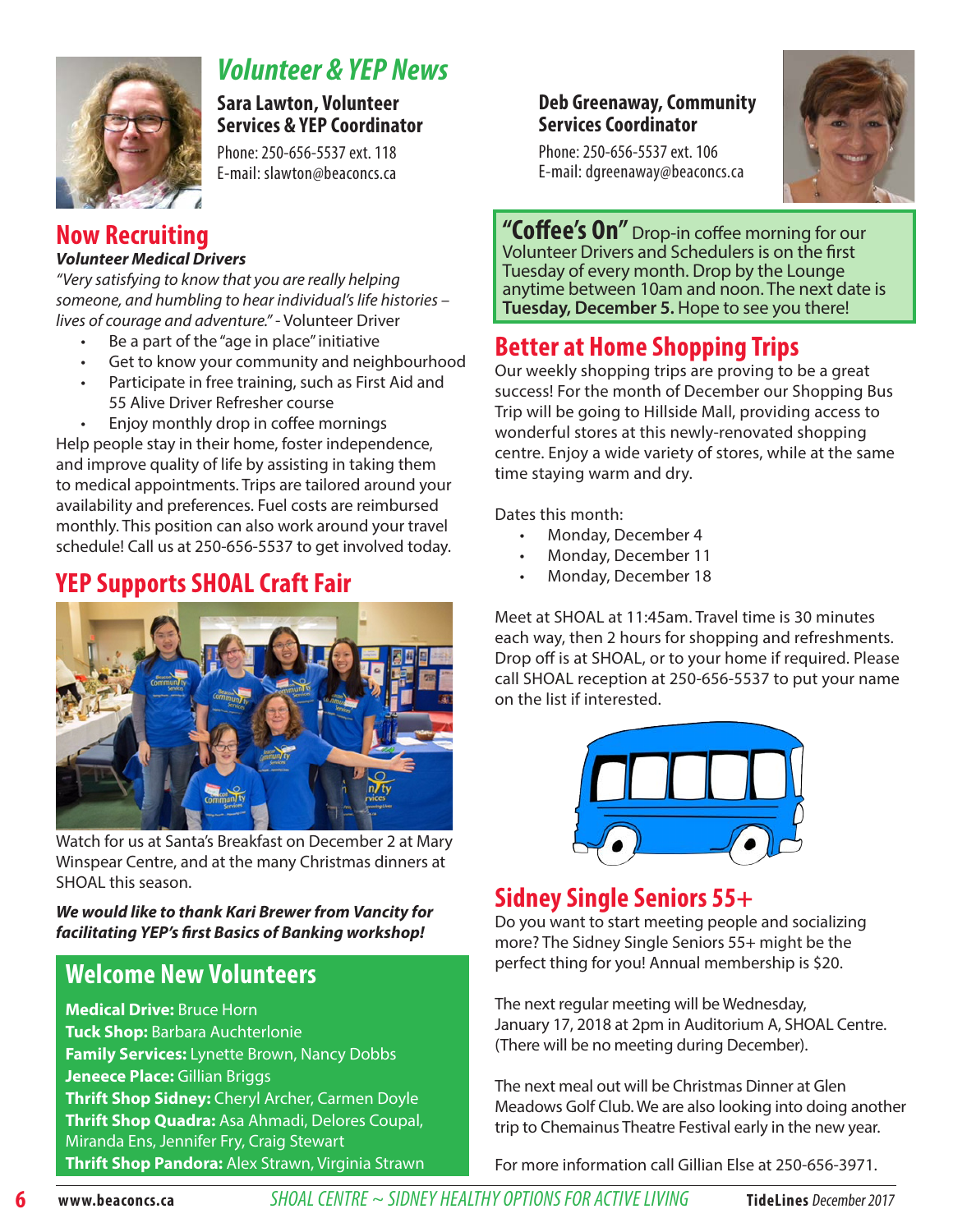

## *Volunteer & YEP News*

**Sara Lawton, Volunteer Services & YEP Coordinator** 

Phone: 250-656-5537 ext. 118 E-mail: slawton@beaconcs.ca

## **Now Recruiting**

#### *Volunteer Medical Drivers*

"Very satisfying to know that you are really helping someone, and humbling to hear individual's life histories – lives of courage and adventure." - Volunteer Driver

- Be a part of the "age in place" initiative
- Get to know your community and neighbourhood
- Participate in free training, such as First Aid and 55 Alive Driver Refresher course
- Enjoy monthly drop in coffee mornings

Help people stay in their home, foster independence, and improve quality of life by assisting in taking them to medical appointments. Trips are tailored around your availability and preferences. Fuel costs are reimbursed monthly. This position can also work around your travel schedule! Call us at 250-656-5537 to get involved today.

## **YEP Supports SHOAL Craft Fair**



Watch for us at Santa's Breakfast on December 2 at Mary Winspear Centre, and at the many Christmas dinners at SHOAL this season.

#### *We would like to thank Kari Brewer from Vancity for facilitating YEP's first Basics of Banking workshop!*

## **Welcome New Volunteers**

**Medical Drive:** Bruce Horn **Tuck Shop:** Barbara Auchterlonie **Family Services:** Lynette Brown, Nancy Dobbs **Jeneece Place:** Gillian Briggs **Thrift Shop Sidney:** Cheryl Archer, Carmen Doyle **Thrift Shop Quadra:** Asa Ahmadi, Delores Coupal, Miranda Ens, Jennifer Fry, Craig Stewart **Thrift Shop Pandora:** Alex Strawn, Virginia Strawn

#### **Deb Greenaway, Community Services Coordinator**





**"Coffee's On"** Drop-in coffee morning for our Volunteer Drivers and Schedulers is on the first Tuesday of every month. Drop by the Lounge anytime between 10am and noon. The next date is **Tuesday, December 5.** Hope to see you there!

## **Better at Home Shopping Trips**

Our weekly shopping trips are proving to be a great success! For the month of December our Shopping Bus Trip will be going to Hillside Mall, providing access to wonderful stores at this newly-renovated shopping centre. Enjoy a wide variety of stores, while at the same time staying warm and dry.

Dates this month:

- Monday, December 4
- Monday, December 11
- Monday, December 18

Meet at SHOAL at 11:45am. Travel time is 30 minutes each way, then 2 hours for shopping and refreshments. Drop off is at SHOAL, or to your home if required. Please call SHOAL reception at 250-656-5537 to put your name on the list if interested.



## **Sidney Single Seniors 55+**

Do you want to start meeting people and socializing more? The Sidney Single Seniors 55+ might be the perfect thing for you! Annual membership is \$20.

The next regular meeting will be Wednesday, January 17, 2018 at 2pm in Auditorium A, SHOAL Centre. (There will be no meeting during December).

The next meal out will be Christmas Dinner at Glen Meadows Golf Club. We are also looking into doing another trip to Chemainus Theatre Festival early in the new year.

For more information call Gillian Else at 250-656-3971.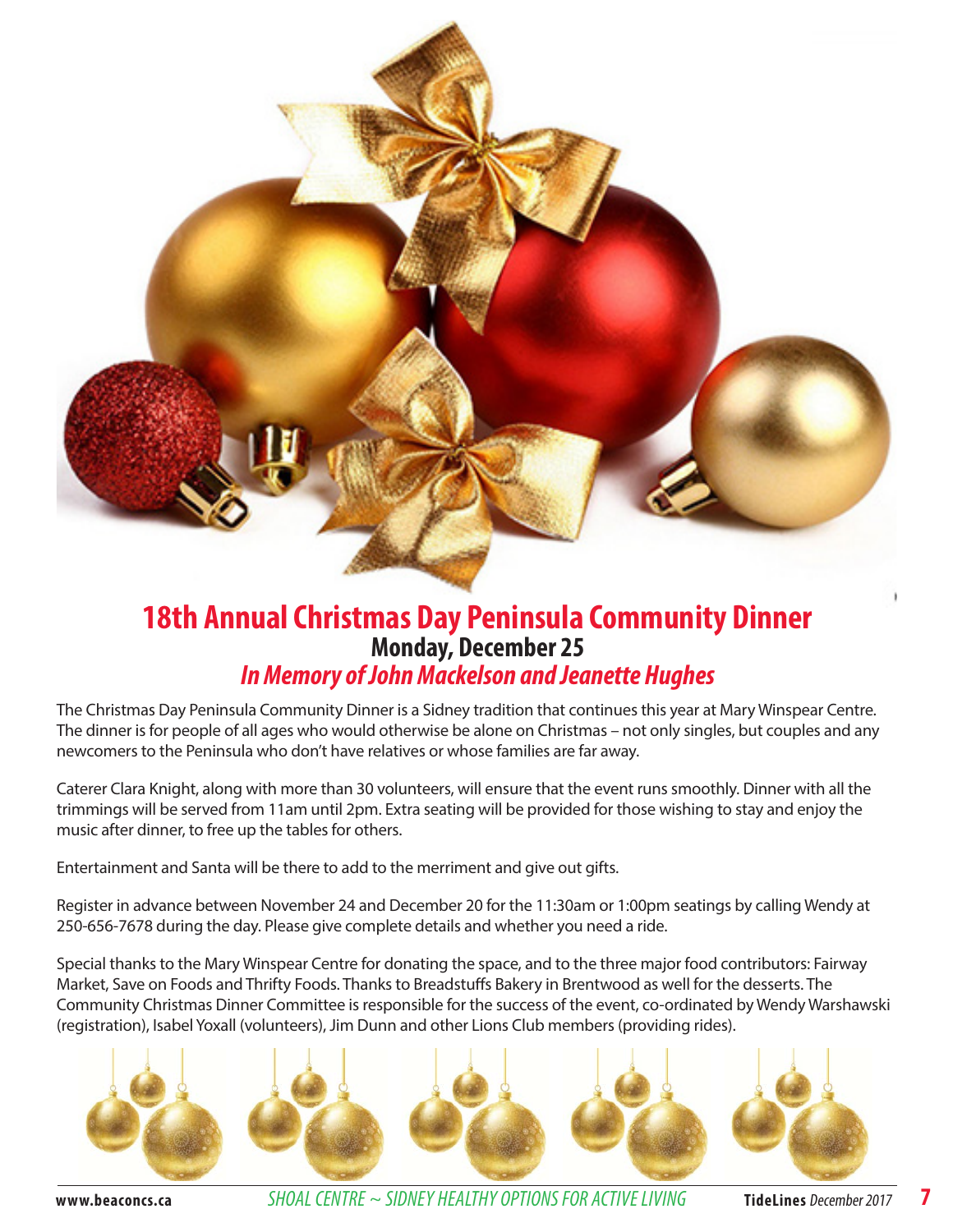

## **18th Annual Christmas Day Peninsula Community Dinner Monday, December 25**  *In Memory of John Mackelson and Jeanette Hughes*

The Christmas Day Peninsula Community Dinner is a Sidney tradition that continues this year at Mary Winspear Centre. The dinner is for people of all ages who would otherwise be alone on Christmas – not only singles, but couples and any newcomers to the Peninsula who don't have relatives or whose families are far away.

Caterer Clara Knight, along with more than 30 volunteers, will ensure that the event runs smoothly. Dinner with all the trimmings will be served from 11am until 2pm. Extra seating will be provided for those wishing to stay and enjoy the music after dinner, to free up the tables for others.

Entertainment and Santa will be there to add to the merriment and give out gifts.

Register in advance between November 24 and December 20 for the 11:30am or 1:00pm seatings by calling Wendy at 250-656-7678 during the day. Please give complete details and whether you need a ride.

Special thanks to the Mary Winspear Centre for donating the space, and to the three major food contributors: Fairway Market, Save on Foods and Thrifty Foods. Thanks to Breadstuffs Bakery in Brentwood as well for the desserts. The Community Christmas Dinner Committee is responsible for the success of the event, co-ordinated by Wendy Warshawski (registration), Isabel Yoxall (volunteers), Jim Dunn and other Lions Club members (providing rides).



**www.beaconcs.ca** *SHOAL CENTRE ~ SIDNEY HEALTHY OPTIONS FOR ACTIVE LIVING* **TideLines** December 2017 **7**